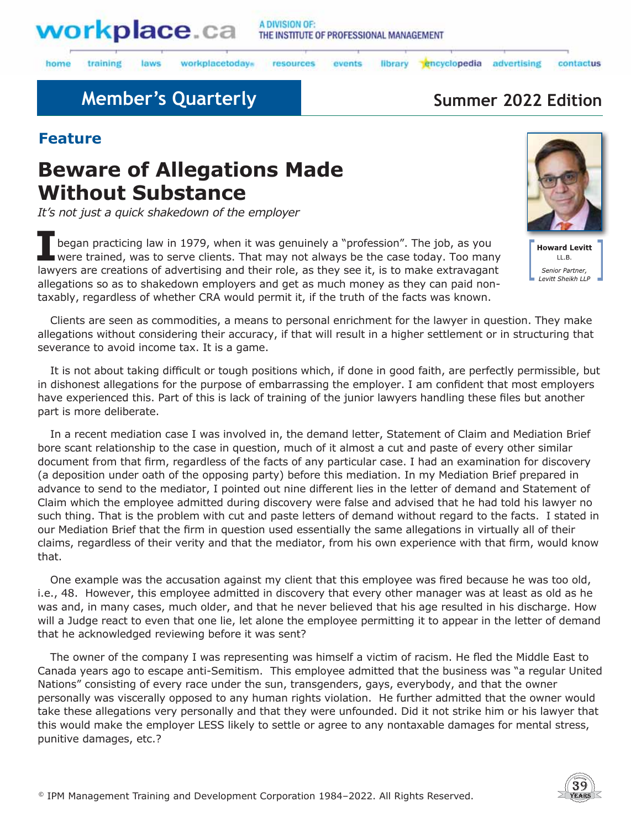

laws

#### A DIVISION OF: THE INSTITUTE OF PROFESSIONAL MANAGEMENT

library encyclopedia

home training workplacetodays

resources events

advertising

## **Member's Quarterly <b>Summer 2022 Edition**

#### **Feature**

# **Beware of Allegations Made Without Substance**

*It's not just a quick shakedown of the employer* 

**I**began practicing law in 1979, when it was genuinely a "profession". The job, as you were trained, was to serve clients. That may not always be the case today. Too many lawyers are creations of advertising and their role, as they see it, is to make extravagant allegations so as to shakedown employers and get as much money as they can paid nontaxably, regardless of whether CRA would permit it, if the truth of the facts was known.



contactus

**Howard Levitt**  $H$ . B. Senior Partner, Levitt Sheikh LLP

Clients are seen as commodities, a means to personal enrichment for the lawyer in question. They make allegations without considering their accuracy, if that will result in a higher settlement or in structuring that severance to avoid income tax. It is a game.

It is not about taking difficult or tough positions which, if done in good faith, are perfectly permissible, but in dishonest allegations for the purpose of embarrassing the employer. I am confident that most employers have experienced this. Part of this is lack of training of the junior lawyers handling these files but another part is more deliberate.

In a recent mediation case I was involved in, the demand letter, Statement of Claim and Mediation Brief bore scant relationship to the case in question, much of it almost a cut and paste of every other similar document from that firm, regardless of the facts of any particular case. I had an examination for discovery (a deposition under oath of the opposing party) before this mediation. In my Mediation Brief prepared in advance to send to the mediator, I pointed out nine different lies in the letter of demand and Statement of Claim which the employee admitted during discovery were false and advised that he had told his lawyer no such thing. That is the problem with cut and paste letters of demand without regard to the facts. I stated in our Mediation Brief that the firm in question used essentially the same allegations in virtually all of their claims, regardless of their verity and that the mediator, from his own experience with that firm, would know that.

One example was the accusation against my client that this employee was fired because he was too old, i.e., 48. However, this employee admitted in discovery that every other manager was at least as old as he was and, in many cases, much older, and that he never believed that his age resulted in his discharge. How will a Judge react to even that one lie, let alone the employee permitting it to appear in the letter of demand that he acknowledged reviewing before it was sent?

The owner of the company I was representing was himself a victim of racism. He fled the Middle East to Canada years ago to escape anti-Semitism. This employee admitted that the business was "a regular United Nations" consisting of every race under the sun, transgenders, gays, everybody, and that the owner personally was viscerally opposed to any human rights violation. He further admitted that the owner would take these allegations very personally and that they were unfounded. Did it not strike him or his lawyer that this would make the employer LESS likely to settle or agree to any nontaxable damages for mental stress, punitive damages, etc.?